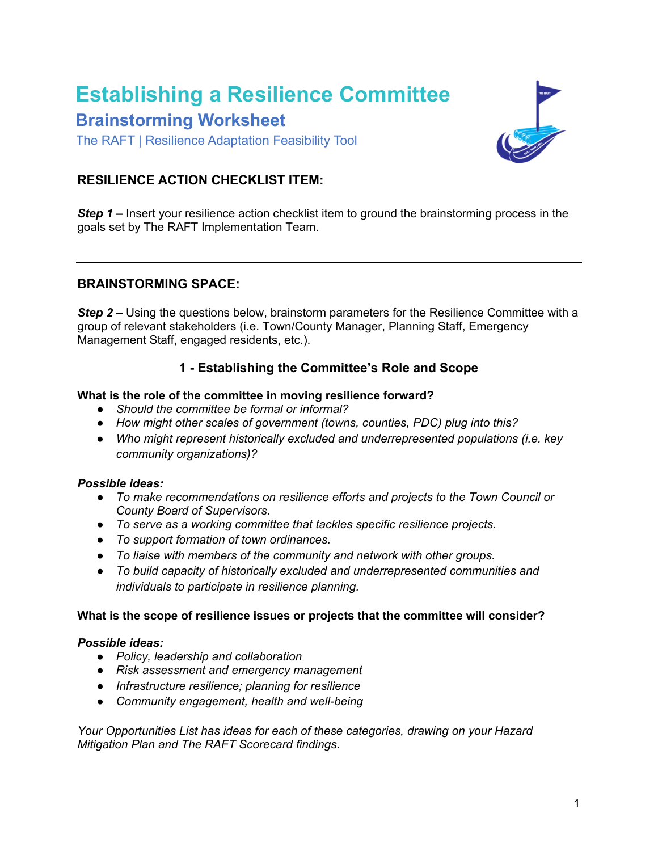# **Establishing a Resilience Committee Brainstorming Worksheet**

The RAFT | Resilience Adaptation Feasibility Tool



### **RESILIENCE ACTION CHECKLIST ITEM:**

*Step 1* **–** Insert your resilience action checklist item to ground the brainstorming process in the goals set by The RAFT Implementation Team.

#### **BRAINSTORMING SPACE:**

**Step 2** – Using the questions below, brainstorm parameters for the Resilience Committee with a group of relevant stakeholders (i.e. Town/County Manager, Planning Staff, Emergency Management Staff, engaged residents, etc.).

#### **1 - Establishing the Committee's Role and Scope**

#### **What is the role of the committee in moving resilience forward?**

- *Should the committee be formal or informal?*
- *How might other scales of government (towns, counties, PDC) plug into this?*
- *Who might represent historically excluded and underrepresented populations (i.e. key community organizations)?*

#### *Possible ideas:*

- *To make recommendations on resilience efforts and projects to the Town Council or County Board of Supervisors.*
- *To serve as a working committee that tackles specific resilience projects.*
- *To support formation of town ordinances.*
- *To liaise with members of the community and network with other groups.*
- *To build capacity of historically excluded and underrepresented communities and individuals to participate in resilience planning.*

#### **What is the scope of resilience issues or projects that the committee will consider?**

#### *Possible ideas:*

- *Policy, leadership and collaboration*
- *Risk assessment and emergency management*
- *Infrastructure resilience; planning for resilience*
- *Community engagement, health and well-being*

*Your [Opportunities List](https://drive.google.com/file/d/1NNAAwEf371QJ8FWzehFPnPJklCxwWkwP/view?usp=sharing) has ideas for each of these categories, drawing on your Hazard Mitigation Plan and The RAFT Scorecard findings.*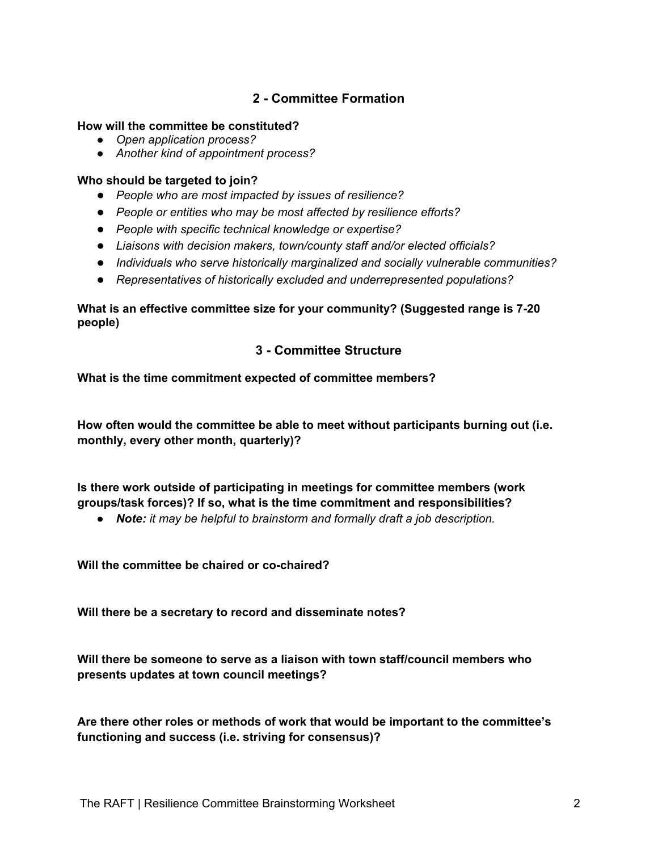## **2 - Committee Formation**

#### **How will the committee be constituted?**

- *Open application process?*
- *Another kind of appointment process?*

#### **Who should be targeted to join?**

- *People who are most impacted by issues of resilience?*
- *People or entities who may be most affected by resilience efforts?*
- *People with specific technical knowledge or expertise?*
- *Liaisons with decision makers, town/county staff and/or elected officials?*
- *Individuals who serve historically marginalized and socially vulnerable communities?*
- *Representatives of historically excluded and underrepresented populations?*

#### **What is an effective committee size for your community? (Suggested range is 7-20 people)**

#### **3 - Committee Structure**

#### **What is the time commitment expected of committee members?**

**How often would the committee be able to meet without participants burning out (i.e. monthly, every other month, quarterly)?**

**Is there work outside of participating in meetings for committee members (work groups/task forces)? If so, what is the time commitment and responsibilities?** 

● *Note: it may be helpful to brainstorm and formally draft a job description.*

**Will the committee be chaired or co-chaired?**

**Will there be a secretary to record and disseminate notes?**

**Will there be someone to serve as a liaison with town staff/council members who presents updates at town council meetings?**

**Are there other roles or methods of work that would be important to the committee's functioning and success (i.e. striving for consensus)?**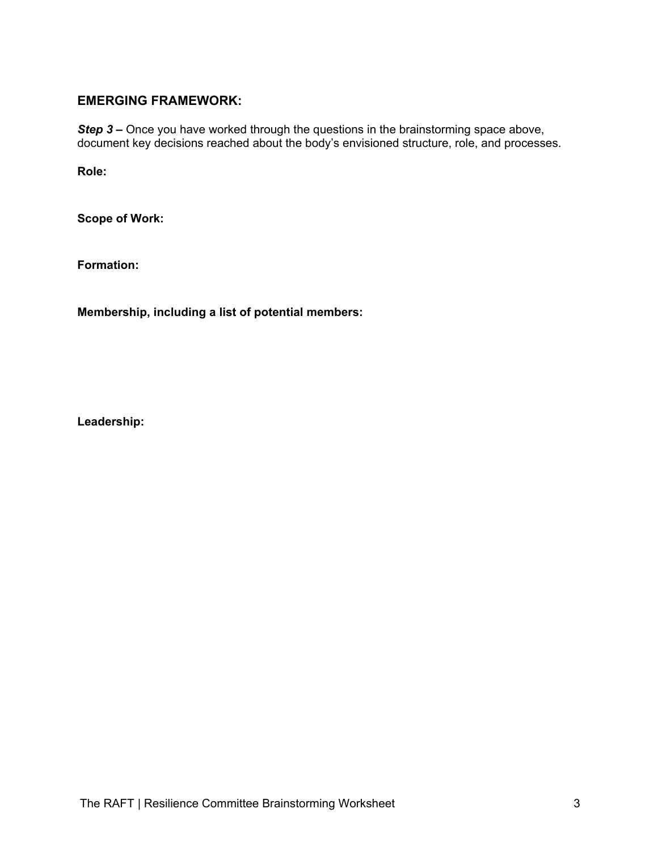#### **EMERGING FRAMEWORK:**

**Step 3** – Once you have worked through the questions in the brainstorming space above, document key decisions reached about the body's envisioned structure, role, and processes.

**Role:**

**Scope of Work:**

**Formation:**

**Membership, including a list of potential members:**

**Leadership:**